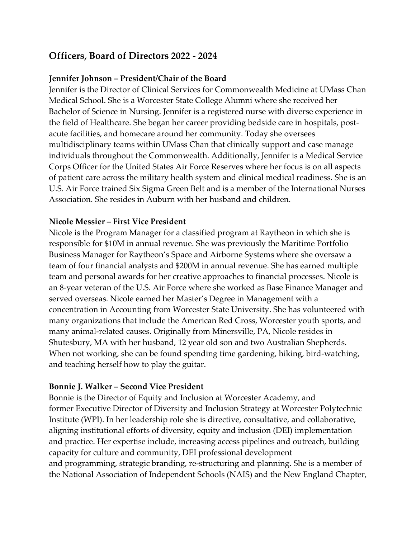# **Officers, Board of Directors 2022 - 2024**

### **Jennifer Johnson – President/Chair of the Board**

Jennifer is the Director of Clinical Services for Commonwealth Medicine at UMass Chan Medical School. She is a Worcester State College Alumni where she received her Bachelor of Science in Nursing. Jennifer is a registered nurse with diverse experience in the field of Healthcare. She began her career providing bedside care in hospitals, postacute facilities, and homecare around her community. Today she oversees multidisciplinary teams within UMass Chan that clinically support and case manage individuals throughout the Commonwealth. Additionally, Jennifer is a Medical Service Corps Officer for the United States Air Force Reserves where her focus is on all aspects of patient care across the military health system and clinical medical readiness. She is an U.S. Air Force trained Six Sigma Green Belt and is a member of the International Nurses Association. She resides in Auburn with her husband and children.

### **Nicole Messier – First Vice President**

Nicole is the Program Manager for a classified program at Raytheon in which she is responsible for \$10M in annual revenue. She was previously the Maritime Portfolio Business Manager for Raytheon's Space and Airborne Systems where she oversaw a team of four financial analysts and \$200M in annual revenue. She has earned multiple team and personal awards for her creative approaches to financial processes. Nicole is an 8-year veteran of the U.S. Air Force where she worked as Base Finance Manager and served overseas. Nicole earned her Master's Degree in Management with a concentration in Accounting from Worcester State University. She has volunteered with many organizations that include the American Red Cross, Worcester youth sports, and many animal-related causes. Originally from Minersville, PA, Nicole resides in Shutesbury, MA with her husband, 12 year old son and two Australian Shepherds. When not working, she can be found spending time gardening, hiking, bird-watching, and teaching herself how to play the guitar.

#### **Bonnie J. Walker – Second Vice President**

Bonnie is the Director of Equity and Inclusion at Worcester Academy, and former Executive Director of Diversity and Inclusion Strategy at Worcester Polytechnic Institute (WPI). In her leadership role she is directive, consultative, and collaborative, aligning institutional efforts of diversity, equity and inclusion (DEI) implementation and practice. Her expertise include, increasing access pipelines and outreach, building capacity for culture and community, DEI professional development and programming, strategic branding, re-structuring and planning. She is a member of the National Association of Independent Schools (NAIS) and the New England Chapter,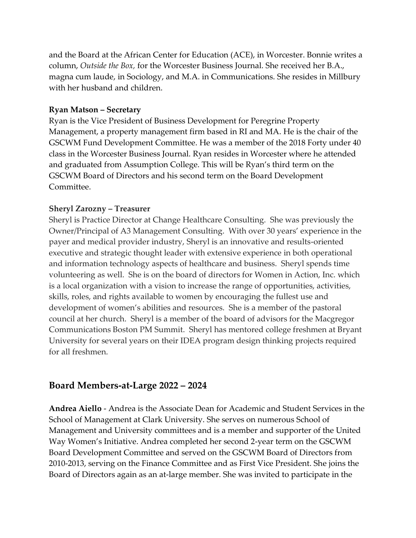and the Board at the African Center for Education (ACE), in Worcester. Bonnie writes a column, *Outside the Box,* for the Worcester Business Journal. She received her B.A., magna cum laude, in Sociology, and M.A. in Communications. She resides in Millbury with her husband and children.

#### **Ryan Matson – Secretary**

Ryan is the Vice President of Business Development for Peregrine Property Management, a property management firm based in RI and MA. He is the chair of the GSCWM Fund Development Committee. He was a member of the 2018 Forty under 40 class in the Worcester Business Journal. Ryan resides in Worcester where he attended and graduated from Assumption College. This will be Ryan's third term on the GSCWM Board of Directors and his second term on the Board Development Committee.

### **Sheryl Zarozny – Treasurer**

Sheryl is Practice Director at Change Healthcare Consulting. She was previously the Owner/Principal of A3 Management Consulting. With over 30 years' experience in the payer and medical provider industry, Sheryl is an innovative and results-oriented executive and strategic thought leader with extensive experience in both operational and information technology aspects of healthcare and business. Sheryl spends time volunteering as well. She is on the board of directors for Women in Action, Inc. which is a local organization with a vision to increase the range of opportunities, activities, skills, roles, and rights available to women by encouraging the fullest use and development of women's abilities and resources. She is a member of the pastoral council at her church. Sheryl is a member of the board of advisors for the Macgregor Communications Boston PM Summit. Sheryl has mentored college freshmen at Bryant University for several years on their IDEA program design thinking projects required for all freshmen.

## **Board Members-at-Large 2022 – 2024**

**Andrea Aiello** - Andrea is the Associate Dean for Academic and Student Services in the School of Management at Clark University. She serves on numerous School of Management and University committees and is a member and supporter of the United Way Women's Initiative. Andrea completed her second 2-year term on the GSCWM Board Development Committee and served on the GSCWM Board of Directors from 2010-2013, serving on the Finance Committee and as First Vice President. She joins the Board of Directors again as an at-large member. She was invited to participate in the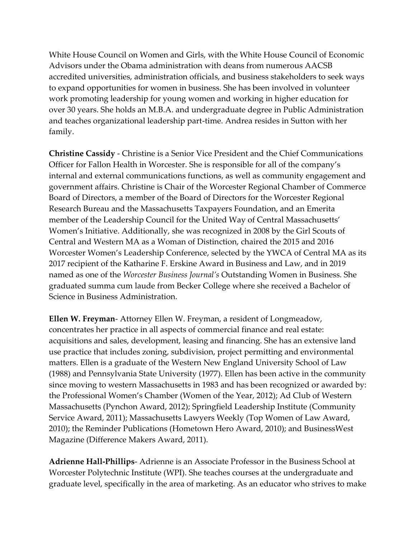White House Council on Women and Girls, with the White House Council of Economic Advisors under the Obama administration with deans from numerous AACSB accredited universities, administration officials, and business stakeholders to seek ways to expand opportunities for women in business. She has been involved in volunteer work promoting leadership for young women and working in higher education for over 30 years. She holds an M.B.A. and undergraduate degree in Public Administration and teaches organizational leadership part-time. Andrea resides in Sutton with her family.

**Christine Cassidy** - Christine is a Senior Vice President and the Chief Communications Officer for Fallon Health in Worcester. She is responsible for all of the company's internal and external communications functions, as well as community engagement and government affairs. Christine is Chair of the Worcester Regional Chamber of Commerce Board of Directors, a member of the Board of Directors for the Worcester Regional Research Bureau and the Massachusetts Taxpayers Foundation, and an Emerita member of the Leadership Council for the United Way of Central Massachusetts' Women's Initiative. Additionally, she was recognized in 2008 by the Girl Scouts of Central and Western MA as a Woman of Distinction, chaired the 2015 and 2016 Worcester Women's Leadership Conference, selected by the YWCA of Central MA as its 2017 recipient of the Katharine F. Erskine Award in Business and Law, and in 2019 named as one of the *Worcester Business Journal's* Outstanding Women in Business. She graduated summa cum laude from Becker College where she received a Bachelor of Science in Business Administration.

**Ellen W. Freyman**- Attorney Ellen W. Freyman, a resident of Longmeadow, concentrates her practice in all aspects of commercial finance and real estate: acquisitions and sales, development, leasing and financing. She has an extensive land use practice that includes zoning, subdivision, project permitting and environmental matters. Ellen is a graduate of the Western New England University School of Law (1988) and Pennsylvania State University (1977). Ellen has been active in the community since moving to western Massachusetts in 1983 and has been recognized or awarded by: the Professional Women's Chamber (Women of the Year, 2012); Ad Club of Western Massachusetts (Pynchon Award, 2012); Springfield Leadership Institute (Community Service Award, 2011); Massachusetts Lawyers Weekly (Top Women of Law Award, 2010); the Reminder Publications (Hometown Hero Award, 2010); and BusinessWest Magazine (Difference Makers Award, 2011).

**Adrienne Hall-Phillips**- Adrienne is an Associate Professor in the Business School at Worcester Polytechnic Institute (WPI). She teaches courses at the undergraduate and graduate level, specifically in the area of marketing. As an educator who strives to make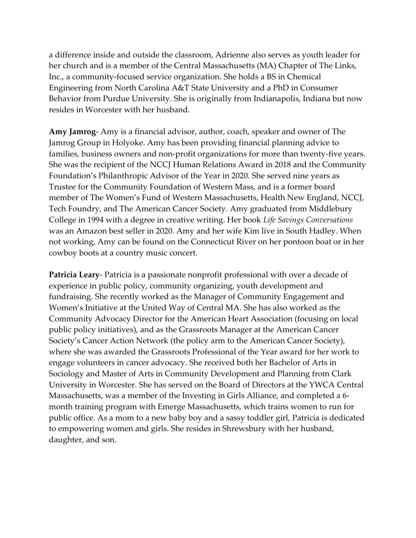a difference inside and outside the classroom, Adrienne also serves as youth leader for her church and is a member of the Central Massachusetts (MA) Chapter of The Links, Inc., a community-focused service organization. She holds a BS in Chemical Engineering from North Carolina A&T State University and a PhD in Consumer Behavior from Purdue University. She is originally from Indianapolis, Indiana but now resides in Worcester with her husband.

**Amy Jamrog**- Amy is a financial advisor, author, coach, speaker and owner of The Jamrog Group in Holyoke. Amy has been providing financial planning advice to families, business owners and non-profit organizations for more than twenty-five years. She was the recipient of the NCCJ Human Relations Award in 2018 and the Community Foundation's Philanthropic Advisor of the Year in 2020. She served nine years as Trustee for the Community Foundation of Western Mass, and is a former board member of The Women's Fund of Western Massachusetts, Health New England, NCCJ, Tech Foundry, and The American Cancer Society. Amy graduated from Middlebury College in 1994 with a degree in creative writing. Her book *Life Savings Conversations* was an Amazon best seller in 2020. Amy and her wife Kim live in South Hadley. When not working, Amy can be found on the Connecticut River on her pontoon boat or in her cowboy boots at a country music concert.

**Patricia Leary**- Patricia is a passionate nonprofit professional with over a decade of experience in public policy, community organizing, youth development and fundraising. She recently worked as the Manager of Community Engagement and Women's Initiative at the United Way of Central MA. She has also worked as the Community Advocacy Director for the American Heart Association (focusing on local public policy initiatives), and as the Grassroots Manager at the American Cancer Society's Cancer Action Network (the policy arm to the American Cancer Society), where she was awarded the Grassroots Professional of the Year award for her work to engage volunteers in cancer advocacy. She received both her Bachelor of Arts in Sociology and Master of Arts in Community Development and Planning from Clark University in Worcester. She has served on the Board of Directors at the YWCA Central Massachusetts, was a member of the Investing in Girls Alliance, and completed a 6 month training program with Emerge Massachusetts, which trains women to run for public office. As a mom to a new baby boy and a sassy toddler girl, Patricia is dedicated to empowering women and girls. She resides in Shrewsbury with her husband, daughter, and son.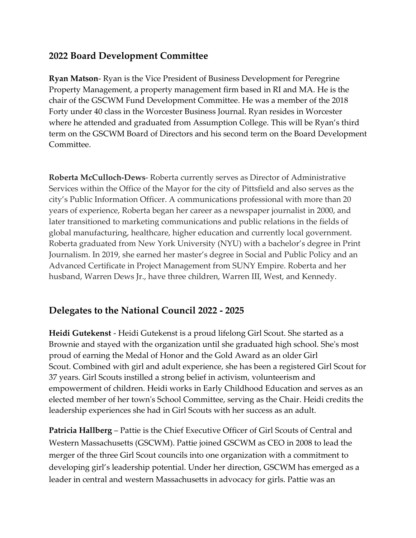# **2022 Board Development Committee**

**Ryan Matson**- Ryan is the Vice President of Business Development for Peregrine Property Management, a property management firm based in RI and MA. He is the chair of the GSCWM Fund Development Committee. He was a member of the 2018 Forty under 40 class in the Worcester Business Journal. Ryan resides in Worcester where he attended and graduated from Assumption College. This will be Ryan's third term on the GSCWM Board of Directors and his second term on the Board Development Committee.

**Roberta McCulloch-Dews**- Roberta currently serves as Director of Administrative Services within the Office of the Mayor for the city of Pittsfield and also serves as the city's Public Information Officer. A communications professional with more than 20 years of experience, Roberta began her career as a newspaper journalist in 2000, and later transitioned to marketing communications and public relations in the fields of global manufacturing, healthcare, higher education and currently local government. Roberta graduated from New York University (NYU) with a bachelor's degree in Print Journalism. In 2019, she earned her master's degree in Social and Public Policy and an Advanced Certificate in Project Management from SUNY Empire. Roberta and her husband, Warren Dews Jr., have three children, Warren III, West, and Kennedy.

# **Delegates to the National Council 2022 - 2025**

**Heidi Gutekenst** - Heidi Gutekenst is a proud lifelong Girl Scout. She started as a Brownie and stayed with the organization until she graduated high school. She's most proud of earning the Medal of Honor and the Gold Award as an older Girl Scout. Combined with girl and adult experience, she has been a registered Girl Scout for 37 years. Girl Scouts instilled a strong belief in activism, volunteerism and empowerment of children. Heidi works in Early Childhood Education and serves as an elected member of her town's School Committee, serving as the Chair. Heidi credits the leadership experiences she had in Girl Scouts with her success as an adult.

**Patricia Hallberg** – Pattie is the Chief Executive Officer of Girl Scouts of Central and Western Massachusetts (GSCWM). Pattie joined GSCWM as CEO in 2008 to lead the merger of the three Girl Scout councils into one organization with a commitment to developing girl's leadership potential. Under her direction, GSCWM has emerged as a leader in central and western Massachusetts in advocacy for girls. Pattie was an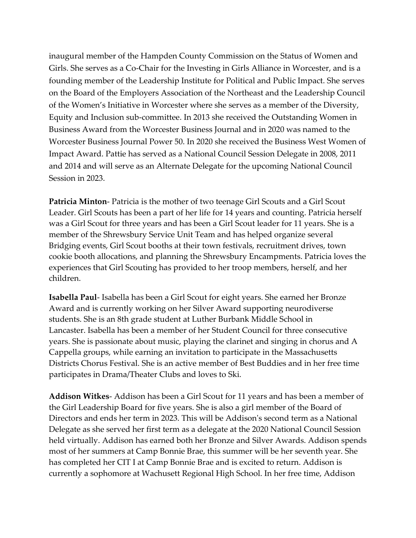inaugural member of the Hampden County Commission on the Status of Women and Girls. She serves as a Co-Chair for the Investing in Girls Alliance in Worcester, and is a founding member of the Leadership Institute for Political and Public Impact. She serves on the Board of the Employers Association of the Northeast and the Leadership Council of the Women's Initiative in Worcester where she serves as a member of the Diversity, Equity and Inclusion sub-committee. In 2013 she received the Outstanding Women in Business Award from the Worcester Business Journal and in 2020 was named to the Worcester Business Journal Power 50. In 2020 she received the Business West Women of Impact Award. Pattie has served as a National Council Session Delegate in 2008, 2011 and 2014 and will serve as an Alternate Delegate for the upcoming National Council Session in 2023.

**Patricia Minton**- Patricia is the mother of two teenage Girl Scouts and a Girl Scout Leader. Girl Scouts has been a part of her life for 14 years and counting. Patricia herself was a Girl Scout for three years and has been a Girl Scout leader for 11 years. She is a member of the Shrewsbury Service Unit Team and has helped organize several Bridging events, Girl Scout booths at their town festivals, recruitment drives, town cookie booth allocations, and planning the Shrewsbury Encampments. Patricia loves the experiences that Girl Scouting has provided to her troop members, herself, and her children.

**Isabella Paul**- Isabella has been a Girl Scout for eight years. She earned her Bronze Award and is currently working on her Silver Award supporting neurodiverse students. She is an 8th grade student at Luther Burbank Middle School in Lancaster. Isabella has been a member of her Student Council for three consecutive years. She is passionate about music, playing the clarinet and singing in chorus and A Cappella groups, while earning an invitation to participate in the Massachusetts Districts Chorus Festival. She is an active member of Best Buddies and in her free time participates in Drama/Theater Clubs and loves to Ski.

**Addison Witkes**- Addison has been a Girl Scout for 11 years and has been a member of the Girl Leadership Board for five years. She is also a girl member of the Board of Directors and ends her term in 2023. This will be Addison's second term as a National Delegate as she served her first term as a delegate at the 2020 National Council Session held virtually. Addison has earned both her Bronze and Silver Awards. Addison spends most of her summers at Camp Bonnie Brae, this summer will be her seventh year. She has completed her CIT I at Camp Bonnie Brae and is excited to return. Addison is currently a sophomore at Wachusett Regional High School. In her free time, Addison